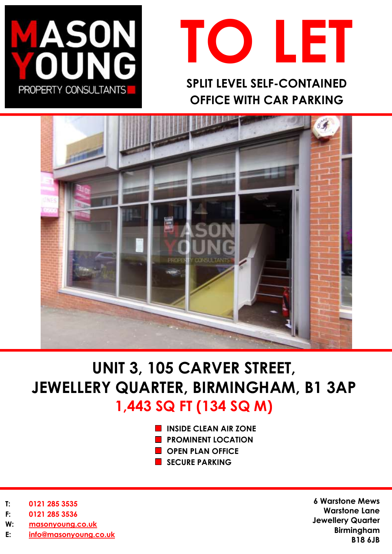



**SPLIT LEVEL SELF-CONTAINED OFFICE WITH CAR PARKING**



# **UNIT 3, 105 CARVER STREET, JEWELLERY QUARTER, BIRMINGHAM, B1 3AP 1,443 SQ FT (134 SQ M)**

- **INSIDE CLEAN AIR ZONE**
- **PROMINENT LOCATION**
- **CPEN PLAN OFFICE**
- SECURE PARKING

- **T: 0121 285 3535**
- **F: 0121 285 3536**
- **W: [masonyoung.co.uk](http://www.masonyoung.co.uk/)**
- **E: [info@masonyoung.co.uk](mailto:info@masonyoung.co.uk)**

**6 Warstone Mews Warstone Lane Jewellery Quarter Birmingham B18 6JB**